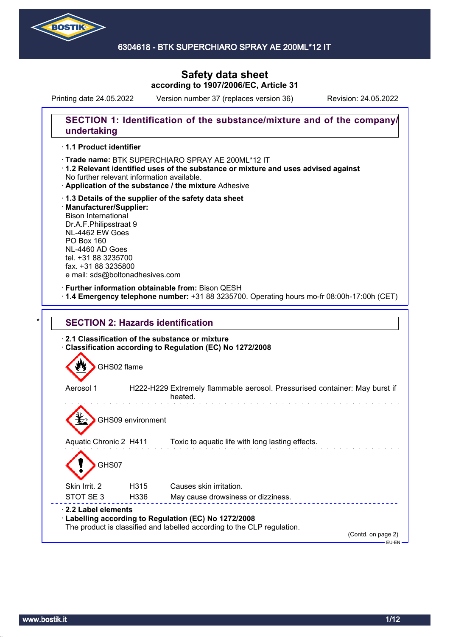

# **Safety data sheet according to 1907/2006/EC, Article 31**

Printing date 24.05.2022 Version number 37 (replaces version 36) Revision: 24.05.2022

### **SECTION 1: Identification of the substance/mixture and of the company/ undertaking**

#### · **1.1 Product identifier**

- · Trade name: BTK SUPERCHIARO SPRAY AE 200ML\*12 IT
- · **1.2 Relevant identified uses of the substance or mixture and uses advised against** No further relevant information available.
- · **Application of the substance / the mixture** Adhesive
- · **1.3 Details of the supplier of the safety data sheet** · **Manufacturer/Supplier:** Bison International Dr.A.F.Philipsstraat 9 NL-4462 EW Goes PO Box 160 NL-4460 AD Goes tel. +31 88 3235700 fax. +31 88 3235800 e mail: sds@boltonadhesives.com

### · **Further information obtainable from:** Bison QESH

· **1.4 Emergency telephone number:** +31 88 3235700. Operating hours mo-fr 08:00h-17:00h (CET)

| GHS02 flame            |                   |                                                                                       |
|------------------------|-------------------|---------------------------------------------------------------------------------------|
| Aerosol 1              |                   | H222-H229 Extremely flammable aerosol. Pressurised container: May burst if<br>heated. |
|                        | GHS09 environment |                                                                                       |
| Aquatic Chronic 2 H411 |                   | Toxic to aquatic life with long lasting effects.                                      |
|                        |                   |                                                                                       |
| GHS07                  |                   |                                                                                       |
| Skin Irrit, 2          | H315              | Causes skin irritation.                                                               |
|                        |                   |                                                                                       |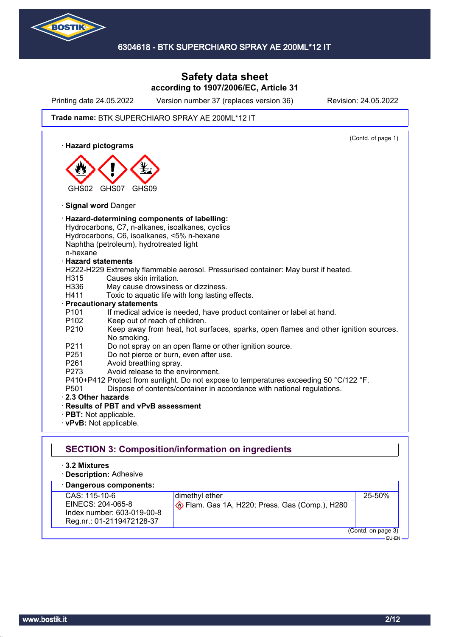

# **Safety data sheet according to 1907/2006/EC, Article 31**

Printing date 24.05.2022 Version number 37 (replaces version 36) Revision: 24.05.2022

#### Trade name: BTK SUPERCHIARO SPRAY AE 200ML\*12 IT

(Contd. of page 1) · **Hazard pictograms** GHS02 GHS07 GHS09 · **Signal word** Danger · **Hazard-determining components of labelling:** Hydrocarbons, C7, n-alkanes, isoalkanes, cyclics Hydrocarbons, C6, isoalkanes, <5% n-hexane Naphtha (petroleum), hydrotreated light n-hexane · **Hazard statements** H222-H229 Extremely flammable aerosol. Pressurised container: May burst if heated. H315 Causes skin irritation. H336 May cause drowsiness or dizziness. H411 Toxic to aquatic life with long lasting effects. · **Precautionary statements** P101 If medical advice is needed, have product container or label at hand. P102 Keep out of reach of children. P210 Keep away from heat, hot surfaces, sparks, open flames and other ignition sources. No smoking. P211 Do not spray on an open flame or other ignition source. P251 Do not pierce or burn, even after use. P261 Avoid breathing spray. P273 Avoid release to the environment. P410+P412 Protect from sunlight. Do not expose to temperatures exceeding 50 °C/122 °F. P501 Dispose of contents/container in accordance with national regulations. · **2.3 Other hazards** · **Results of PBT and vPvB assessment** · **PBT:** Not applicable. · **vPvB:** Not applicable. **SECTION 3: Composition/information on ingredients** · **3.2 Mixtures** · **Description:** Adhesive

#### · **Dangerous components:** CAS: 115-10-6 EINECS: 204-065-8 Index number: 603-019-00-8 Reg.nr.: 01-2119472128-37 dimethyl ether Flam. Gas 1A, H220; Press. Gas (Comp.), H280 25-50% (Contd. on page 3) EU-EN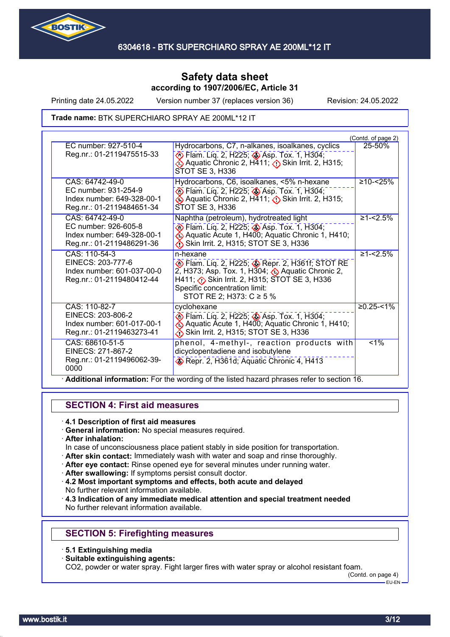

Printing date 24.05.2022 Version number 37 (replaces version 36) Revision: 24.05.2022

Trade name: BTK SUPERCHIARO SPRAY AE 200ML\*12 IT

|                                                                                                    |                                                                                                                                                                                                                      | (Contd. of page 2) |
|----------------------------------------------------------------------------------------------------|----------------------------------------------------------------------------------------------------------------------------------------------------------------------------------------------------------------------|--------------------|
| EC number: 927-510-4<br>Reg.nr.: 01-2119475515-33                                                  | Hydrocarbons, C7, n-alkanes, isoalkanes, cyclics<br>Elam. Liq. 2, H225; Asp. Tox. 1, H304;<br>Aquatic Chronic 2, H411; ∧ Skin Irrit. 2, H315;<br>STOT SE 3, H336                                                     | 25-50%             |
| CAS: 64742-49-0<br>EC number: 931-254-9<br>Index number: 649-328-00-1<br>Reg.nr.: 01-2119484651-34 | Hydrocarbons, C6, isoalkanes, <5% n-hexane<br>Flam. Liq. 2, H225; Asp. Tox. 1, H304;<br>Aquatic Chronic 2, H411; <b>O</b> Skin Irrit. 2, H315;<br>STOT SE 3, H336                                                    | $≥10 - < 25\%$     |
| CAS: 64742-49-0<br>EC number: 926-605-8<br>Index number: 649-328-00-1<br>Reg.nr.: 01-2119486291-36 | Naphtha (petroleum), hydrotreated light<br><b>▶ Flam. Liq. 2, H225; ♦ Asp. Tox. 1, H304;</b><br>Aquatic Acute 1, H400; Aquatic Chronic 1, H410;<br>Skin Irrit. 2, H315; STOT SE 3, H336                              | $\geq 1 - 2.5\%$   |
| CAS: 110-54-3<br>EINECS: 203-777-6<br>Index number: 601-037-00-0<br>Reg.nr.: 01-2119480412-44      | n-hexane<br>Flam. Liq. 2, H225; Repr. 2, H361f; STOT RE<br>2, H373; Asp. Tox. 1, H304; Aquatic Chronic 2,<br>H411; Skin Irrit. 2, H315; STOT SE 3, H336<br>Specific concentration limit:<br>STOT RE 2; H373: C ≥ 5 % | $≥1 - 2.5%$        |
| CAS: 110-82-7<br>EINECS: 203-806-2<br>Index number: 601-017-00-1<br>Reg.nr.: 01-2119463273-41      | cyclohexane<br>♦ Flam. Liq. 2, H225; ♦ Asp. Tox. 1, H304;<br>Aquatic Acute 1, H400; Aquatic Chronic 1, H410;<br>Skin Irrit. 2, H315; STOT SE 3, H336                                                                 | $≥0.25 - 51%$      |
| CAS: 68610-51-5<br>EINECS: 271-867-2<br>Reg.nr.: 01-2119496062-39-<br>0000                         | phenol, 4-methyl-, reaction products with<br>dicyclopentadiene and isobutylene<br>Repr. 2, H361d; Aquatic Chronic 4, H413                                                                                            | $< 1\%$            |

### **SECTION 4: First aid measures**

### · **4.1 Description of first aid measures**

- · **General information:** No special measures required.
- · **After inhalation:**
- In case of unconsciousness place patient stably in side position for transportation.
- · **After skin contact:** Immediately wash with water and soap and rinse thoroughly.
- · **After eye contact:** Rinse opened eye for several minutes under running water.
- · **After swallowing:** If symptoms persist consult doctor.
- · **4.2 Most important symptoms and effects, both acute and delayed** No further relevant information available.
- · **4.3 Indication of any immediate medical attention and special treatment needed** No further relevant information available.

# **SECTION 5: Firefighting measures**

- · **5.1 Extinguishing media**
- · **Suitable extinguishing agents:**

CO2, powder or water spray. Fight larger fires with water spray or alcohol resistant foam.

(Contd. on page 4)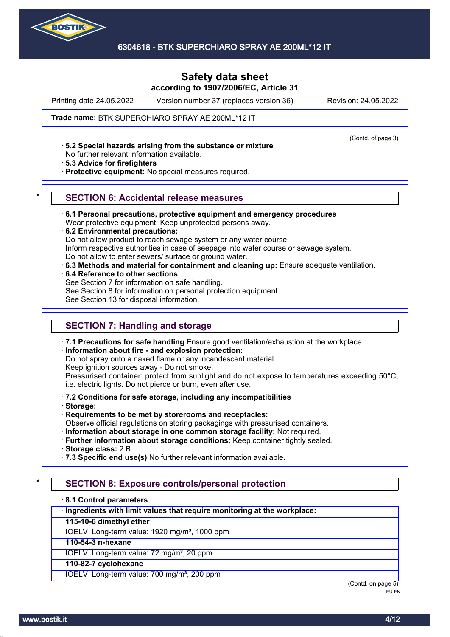

# **Safety data sheet according to 1907/2006/EC, Article 31**

Printing date 24.05.2022 Version number 37 (replaces version 36) Revision: 24.05.2022

(Contd. of page 3)

#### Trade name: BTK SUPERCHIARO SPRAY AE 200ML\*12 IT

· **5.2 Special hazards arising from the substance or mixture**

No further relevant information available.

· **5.3 Advice for firefighters**

· **Protective equipment:** No special measures required.

#### \* **SECTION 6: Accidental release measures**

· **6.1 Personal precautions, protective equipment and emergency procedures**

Wear protective equipment. Keep unprotected persons away.

· **6.2 Environmental precautions:**

Do not allow product to reach sewage system or any water course.

Inform respective authorities in case of seepage into water course or sewage system.

Do not allow to enter sewers/ surface or ground water.

· **6.3 Methods and material for containment and cleaning up:** Ensure adequate ventilation.

· **6.4 Reference to other sections**

See Section 7 for information on safe handling.

See Section 8 for information on personal protection equipment.

See Section 13 for disposal information.

### **SECTION 7: Handling and storage**

· **7.1 Precautions for safe handling** Ensure good ventilation/exhaustion at the workplace.

#### · **Information about fire - and explosion protection:**

Do not spray onto a naked flame or any incandescent material.

Keep ignition sources away - Do not smoke.

Pressurised container: protect from sunlight and do not expose to temperatures exceeding 50°C, i.e. electric lights. Do not pierce or burn, even after use.

#### · **7.2 Conditions for safe storage, including any incompatibilities**

· **Storage:**

- · **Requirements to be met by storerooms and receptacles:**
- Observe official regulations on storing packagings with pressurised containers.
- · **Information about storage in one common storage facility:** Not required.
- · **Further information about storage conditions:** Keep container tightly sealed.

· **Storage class:** 2 B

· **7.3 Specific end use(s)** No further relevant information available.

# **SECTION 8: Exposure controls/personal protection**

· **8.1 Control parameters**

· **Ingredients with limit values that require monitoring at the workplace:**

**115-10-6 dimethyl ether**

IOELV Long-term value: 1920 mg/m<sup>3</sup>, 1000 ppm

### **110-54-3 n-hexane**

IOELV Long-term value: 72 mg/m<sup>3</sup>, 20 ppm

#### **110-82-7 cyclohexane**

IOELV Long-term value: 700 mg/m<sup>3</sup>, 200 ppm

(Contd. on page 5) EU-EN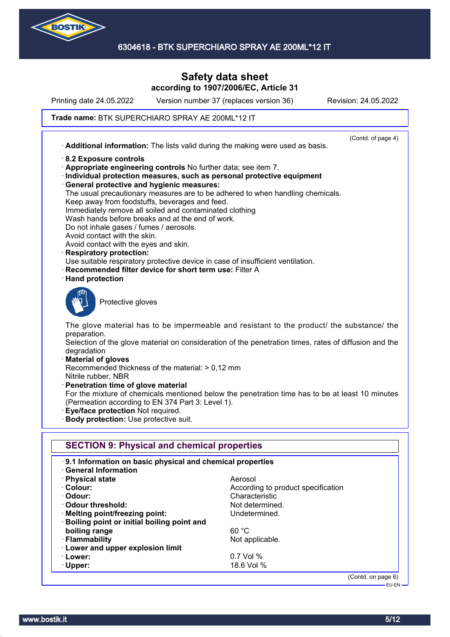

# **Safety data sheet according to 1907/2006/EC, Article 31**

Printing date 24.05.2022 Version number 37 (replaces version 36) Revision: 24.05.2022

#### Trade name: BTK SUPERCHIARO SPRAY AE 200ML\*12 IT

(Contd. of page 4) · **Additional information:** The lists valid during the making were used as basis. · **8.2 Exposure controls** · **Appropriate engineering controls** No further data; see item 7. · **Individual protection measures, such as personal protective equipment** · **General protective and hygienic measures:** The usual precautionary measures are to be adhered to when handling chemicals. Keep away from foodstuffs, beverages and feed. Immediately remove all soiled and contaminated clothing Wash hands before breaks and at the end of work. Do not inhale gases / fumes / aerosols. Avoid contact with the skin. Avoid contact with the eyes and skin. · **Respiratory protection:** Use suitable respiratory protective device in case of insufficient ventilation. **Recommended filter device for short term use: Filter A** · **Hand protection** Protective gloves The glove material has to be impermeable and resistant to the product/ the substance/ the preparation. Selection of the glove material on consideration of the penetration times, rates of diffusion and the degradation · **Material of gloves** Recommended thickness of the material: > 0,12 mm Nitrile rubber, NBR · **Penetration time of glove material** For the mixture of chemicals mentioned below the penetration time has to be at least 10 minutes (Permeation according to EN 374 Part 3: Level 1). · **Eye/face protection** Not required. · **Body protection:** Use protective suit. **SECTION 9: Physical and chemical properties** · **9.1 Information on basic physical and chemical properties** · **General Information** · **Physical state** Aerosol · **Colour:** According to product specification · **Odour:** Characteristic · **Odour threshold:** Not determined. **Melting point/freezing point:** Undetermined. · **Boiling point or initial boiling point and boiling range** 60 °C · **Flammability Not applicable.** Not applicable. · **Lower and upper explosion limit** · **Lower:** 0.7 Vol % · **Upper:** 18.6 Vol % (Contd. on page 6)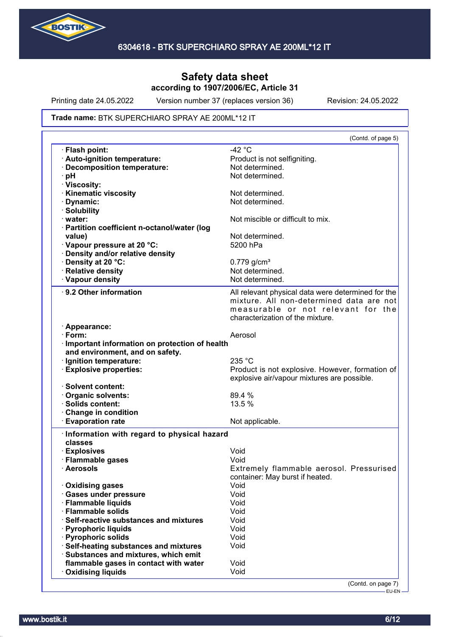

Printing date 24.05.2022 Version number 37 (replaces version 36) Revision: 24.05.2022

#### Trade name: BTK SUPERCHIARO SPRAY AE 200ML\*12 IT

| (Contd. of page 5)                                 |
|----------------------------------------------------|
| $-42 °C$                                           |
| Product is not selfigniting.                       |
| Not determined.                                    |
| Not determined.                                    |
|                                                    |
| Not determined.                                    |
| Not determined.                                    |
|                                                    |
| Not miscible or difficult to mix.                  |
|                                                    |
| Not determined.                                    |
| 5200 hPa                                           |
|                                                    |
| $0.779$ g/cm <sup>3</sup>                          |
| Not determined.                                    |
| Not determined.                                    |
|                                                    |
| All relevant physical data were determined for the |
| mixture. All non-determined data are not           |
| measurable or not relevant for the                 |
| characterization of the mixture.                   |
|                                                    |
| Aerosol                                            |
| · Important information on protection of health    |
|                                                    |
| 235 °C                                             |
| Product is not explosive. However, formation of    |
| explosive air/vapour mixtures are possible.        |
| 89.4 %                                             |
| 13.5 %                                             |
|                                                    |
| Not applicable.                                    |
|                                                    |
| Information with regard to physical hazard         |
|                                                    |
| Void                                               |
|                                                    |
| Void                                               |
|                                                    |
| container: May burst if heated.                    |
| Void                                               |
| Void                                               |
| Extremely flammable aerosol. Pressurised<br>Void   |
| Void                                               |
| Void                                               |
| Void                                               |
| Void                                               |
| Void                                               |
|                                                    |
| Void                                               |
|                                                    |

-<br>EU-EN-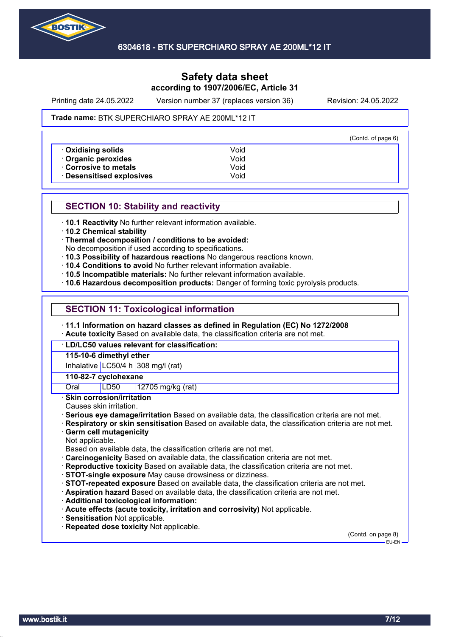

Printing date 24.05.2022 Version number 37 (replaces version 36) Revision: 24.05.2022

#### Trade name: BTK SUPERCHIARO SPRAY AE 200ML\*12 IT

|                           |      | (Contd. of page 6) |
|---------------------------|------|--------------------|
| Oxidising solids          | Void |                    |
| Organic peroxides         | Void |                    |
| Corrosive to metals       | Void |                    |
| · Desensitised explosives | Void |                    |

### **SECTION 10: Stability and reactivity**

· **10.1 Reactivity** No further relevant information available.

· **10.2 Chemical stability**

· **Thermal decomposition / conditions to be avoided:**

No decomposition if used according to specifications.

- · **10.3 Possibility of hazardous reactions** No dangerous reactions known.
- · **10.4 Conditions to avoid** No further relevant information available.
- · **10.5 Incompatible materials:** No further relevant information available.
- · **10.6 Hazardous decomposition products:** Danger of forming toxic pyrolysis products.

### **SECTION 11: Toxicological information**

· **11.1 Information on hazard classes as defined in Regulation (EC) No 1272/2008**

· **Acute toxicity** Based on available data, the classification criteria are not met.

· **LD/LC50 values relevant for classification:**

**115-10-6 dimethyl ether**

Inhalative LC50/4 h 308 mg/l (rat)

#### **110-82-7 cyclohexane**

Oral LD50 12705 mg/kg (rat)

· **Skin corrosion/irritation**

Causes skin irritation.

· **Serious eye damage/irritation** Based on available data, the classification criteria are not met.

· **Respiratory or skin sensitisation** Based on available data, the classification criteria are not met.

### · **Germ cell mutagenicity**

Not applicable.

Based on available data, the classification criteria are not met.

- · **Carcinogenicity** Based on available data, the classification criteria are not met.
- · **Reproductive toxicity** Based on available data, the classification criteria are not met.
- · **STOT-single exposure** May cause drowsiness or dizziness.

· **STOT-repeated exposure** Based on available data, the classification criteria are not met.

- · **Aspiration hazard** Based on available data, the classification criteria are not met.
- · **Additional toxicological information:**
- · **Acute effects (acute toxicity, irritation and corrosivity)** Not applicable.
- · **Sensitisation** Not applicable.
- · **Repeated dose toxicity** Not applicable.

(Contd. on page 8) EU-EN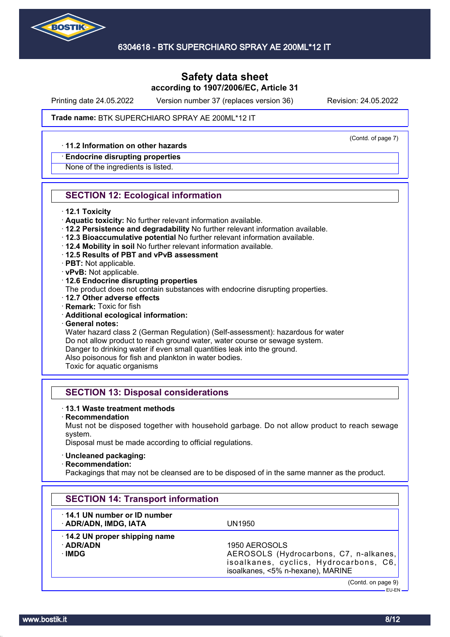

Printing date 24.05.2022 Version number 37 (replaces version 36) Revision: 24.05.2022

(Contd. of page 7)

#### Trade name: BTK SUPERCHIARO SPRAY AE 200ML\*12 IT

### · **11.2 Information on other hazards**

#### · **Endocrine disrupting properties**

None of the ingredients is listed.

### **SECTION 12: Ecological information**

- · **12.1 Toxicity**
- · **Aquatic toxicity:** No further relevant information available.
- · **12.2 Persistence and degradability** No further relevant information available.
- · **12.3 Bioaccumulative potential** No further relevant information available.
- · **12.4 Mobility in soil** No further relevant information available.
- · **12.5 Results of PBT and vPvB assessment**
- · **PBT:** Not applicable.
- · **vPvB:** Not applicable.
- · **12.6 Endocrine disrupting properties**
- The product does not contain substances with endocrine disrupting properties.
- · **12.7 Other adverse effects**
- · **Remark:** Toxic for fish
- · **Additional ecological information:**
- · **General notes:**

Water hazard class 2 (German Regulation) (Self-assessment): hazardous for water Do not allow product to reach ground water, water course or sewage system. Danger to drinking water if even small quantities leak into the ground. Also poisonous for fish and plankton in water bodies.

Toxic for aquatic organisms

### **SECTION 13: Disposal considerations**

#### · **13.1 Waste treatment methods**

· **Recommendation**

Must not be disposed together with household garbage. Do not allow product to reach sewage system.

Disposal must be made according to official regulations.

#### · **Uncleaned packaging:**

· **Recommendation:**

Packagings that may not be cleansed are to be disposed of in the same manner as the product.

| <b>SECTION 14: Transport information</b>             |                                                                                                                                        |
|------------------------------------------------------|----------------------------------------------------------------------------------------------------------------------------------------|
| 14.1 UN number or ID number<br>· ADR/ADN, IMDG, IATA | UN1950                                                                                                                                 |
| 14.2 UN proper shipping name<br>· ADR/ADN<br>∙IMDG   | 1950 AEROSOLS<br>AEROSOLS (Hydrocarbons, C7, n-alkanes,<br>isoalkanes, cyclics, Hydrocarbons, C6,<br>isoalkanes, <5% n-hexane), MARINE |
|                                                      | (Contd. on page 9)<br>$EU$ -EN $-$                                                                                                     |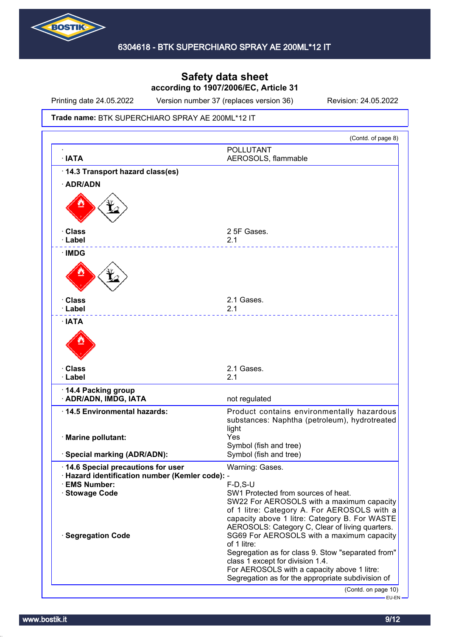

Printing date 24.05.2022 Version number 37 (replaces version 36) Revision: 24.05.2022

#### Trade name: BTK SUPERCHIARO SPRAY AE 200ML\*12 IT

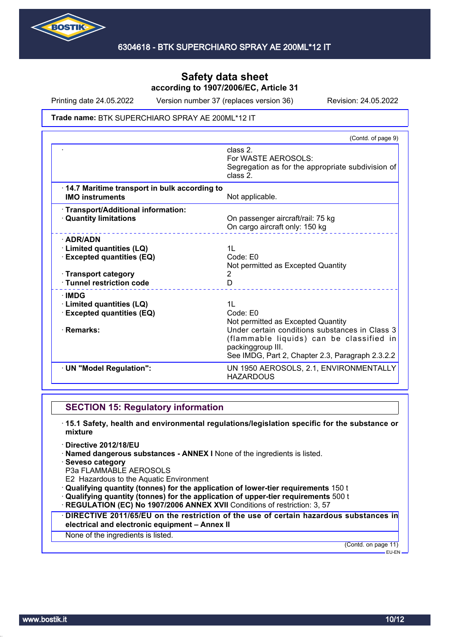

Printing date 24.05.2022 Version number 37 (replaces version 36) Revision: 24.05.2022

#### Trade name: BTK SUPERCHIARO SPRAY AE 200ML\*12 IT

|                                                                                                                                      | (Contd. of page 9)                                                                                                                                                                                                                      |
|--------------------------------------------------------------------------------------------------------------------------------------|-----------------------------------------------------------------------------------------------------------------------------------------------------------------------------------------------------------------------------------------|
|                                                                                                                                      | class 2.<br>For WASTE AEROSOLS:<br>Segregation as for the appropriate subdivision of<br>class 2.                                                                                                                                        |
| 14.7 Maritime transport in bulk according to<br><b>IMO instruments</b>                                                               | Not applicable.                                                                                                                                                                                                                         |
| · Transport/Additional information:<br><b>Quantity limitations</b>                                                                   | On passenger aircraft/rail: 75 kg<br>On cargo aircraft only: 150 kg                                                                                                                                                                     |
| $\cdot$ ADR/ADN<br>· Limited quantities (LQ)<br><b>Excepted quantities (EQ)</b><br>· Transport category<br>· Tunnel restriction code | 1L<br>Code: E0<br>Not permitted as Excepted Quantity<br>2<br>D                                                                                                                                                                          |
| ∴IMDG<br><b>Limited quantities (LQ)</b><br><b>Excepted quantities (EQ)</b><br>· Remarks:                                             | 1 <sub>L</sub><br>Code: E0<br>Not permitted as Excepted Quantity<br>Under certain conditions substances in Class 3<br>(flammable liquids) can be classified in<br>packinggroup III.<br>See IMDG, Part 2, Chapter 2.3, Paragraph 2.3.2.2 |
| · UN "Model Regulation":                                                                                                             | UN 1950 AEROSOLS, 2.1, ENVIRONMENTALLY<br><b>HAZARDOUS</b>                                                                                                                                                                              |

### **SECTION 15: Regulatory information**

- · **15.1 Safety, health and environmental regulations/legislation specific for the substance or mixture**
- · **Directive 2012/18/EU**
- · **Named dangerous substances ANNEX I** None of the ingredients is listed.
- · **Seveso category**
- P3a FLAMMABLE AEROSOLS
- E2 Hazardous to the Aquatic Environment
- · **Qualifying quantity (tonnes) for the application of lower-tier requirements** 150 t
- · **Qualifying quantity (tonnes) for the application of upper-tier requirements** 500 t
- · **REGULATION (EC) No 1907/2006 ANNEX XVII** Conditions of restriction: 3, 57
- · **DIRECTIVE 2011/65/EU on the restriction of the use of certain hazardous substances in electrical and electronic equipment – Annex II**

None of the ingredients is listed.

(Contd. on page 11) EU-EN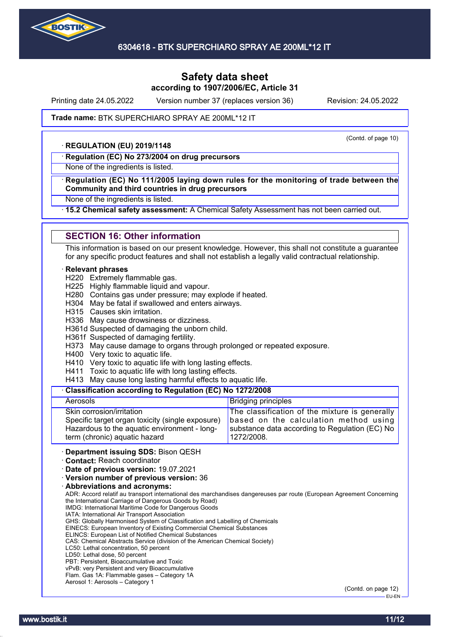

Printing date 24.05.2022 Version number 37 (replaces version 36) Revision: 24.05.2022

(Contd. of page 10)

#### Trade name: BTK SUPERCHIARO SPRAY AE 200ML\*12 IT

#### · **REGULATION (EU) 2019/1148**

· **Regulation (EC) No 273/2004 on drug precursors**

None of the ingredients is listed.

#### · **Regulation (EC) No 111/2005 laying down rules for the monitoring of trade between the Community and third countries in drug precursors**

None of the ingredients is listed.

· **15.2 Chemical safety assessment:** A Chemical Safety Assessment has not been carried out.

### **SECTION 16: Other information**

This information is based on our present knowledge. However, this shall not constitute a guarantee for any specific product features and shall not establish a legally valid contractual relationship.

#### · **Relevant phrases**

H220 Extremely flammable gas.

- H225 Highly flammable liquid and vapour.
- H280 Contains gas under pressure; may explode if heated.
- H304 May be fatal if swallowed and enters airways.
- H315 Causes skin irritation.

H336 May cause drowsiness or dizziness.

H361d Suspected of damaging the unborn child.

H361f Suspected of damaging fertility.

- H373 May cause damage to organs through prolonged or repeated exposure.
- H400 Very toxic to aquatic life.
- H410 Very toxic to aquatic life with long lasting effects.
- H411 Toxic to aquatic life with long lasting effects.
- H413 May cause long lasting harmful effects to aquatic life.

#### · **Classification according to Regulation (EC) No 1272/2008**

| Aerosols                                         | <b>Bridging principles</b>                     |
|--------------------------------------------------|------------------------------------------------|
| Skin corrosion/irritation                        | The classification of the mixture is generally |
| Specific target organ toxicity (single exposure) | based on the calculation method using          |
| Hazardous to the aquatic environment - long-     | substance data according to Regulation (EC) No |
| term (chronic) aquatic hazard                    | 1272/2008.                                     |

· **Department issuing SDS:** Bison QESH

· **Contact:** Reach coordinator

· **Date of previous version:** 19.07.2021

· **Version number of previous version:** 36

· **Abbreviations and acronyms:**

ADR: Accord relatif au transport international des marchandises dangereuses par route (European Agreement Concerning the International Carriage of Dangerous Goods by Road)

IMDG: International Maritime Code for Dangerous Goods IATA: International Air Transport Association

GHS: Globally Harmonised System of Classification and Labelling of Chemicals

EINECS: European Inventory of Existing Commercial Chemical Substances

ELINCS: European List of Notified Chemical Substances

CAS: Chemical Abstracts Service (division of the American Chemical Society)

LC50: Lethal concentration, 50 percent

LD50: Lethal dose, 50 percent

PBT: Persistent, Bioaccumulative and Toxic

vPvB: very Persistent and very Bioaccumulative Flam. Gas 1A: Flammable gases – Category 1A

Aerosol 1: Aerosols – Category 1

(Contd. on page 12) EU-EN